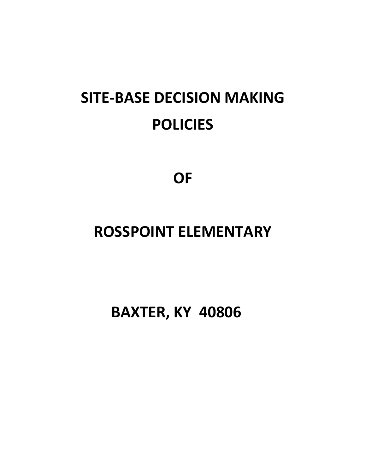# **SITE-BASE DECISION MAKING POLICIES**

**OF** 

# **ROSSPOINT ELEMENTARY**

 **BAXTER, KY 40806**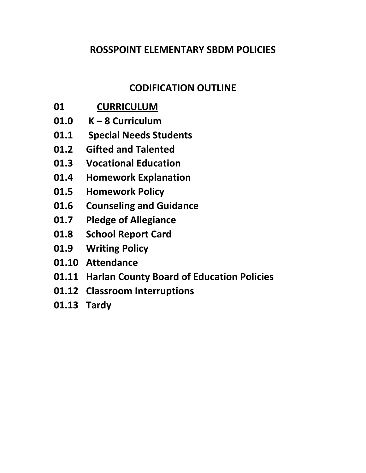#### **ROSSPOINT ELEMENTARY SBDM POLICIES**

#### **CODIFICATION OUTLINE**

- **01 CURRICULUM**
- **01.0 K – 8 Curriculum**
- **01.1 Special Needs Students**
- **01.2 Gifted and Talented**
- **01.3 Vocational Education**
- **01.4 Homework Explanation**
- **01.5 Homework Policy**
- **01.6 Counseling and Guidance**
- **01.7 Pledge of Allegiance**
- **01.8 School Report Card**
- **01.9 Writing Policy**
- **01.10 Attendance**
- **01.11 Harlan County Board of Education Policies**
- **01.12 Classroom Interruptions**
- **01.13 Tardy**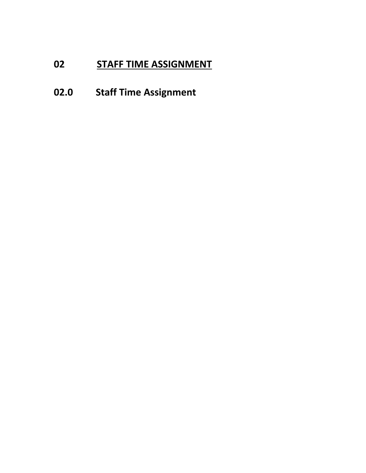# **02 STAFF TIME ASSIGNMENT**

# **02.0 Staff Time Assignment**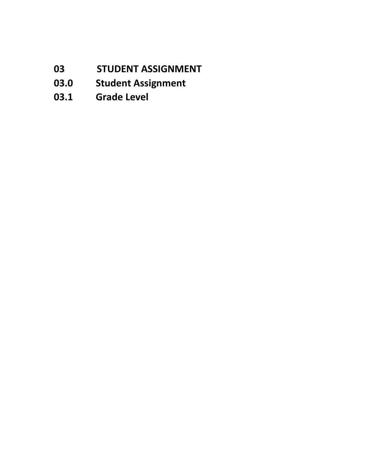- **03 STUDENT ASSIGNMENT**
- **03.0 Student Assignment**
- **03.1 Grade Level**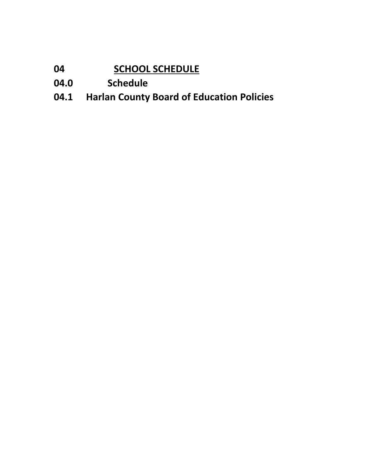# **04 SCHOOL SCHEDULE**

- **04.0 Schedule**
- **04.1 Harlan County Board of Education Policies**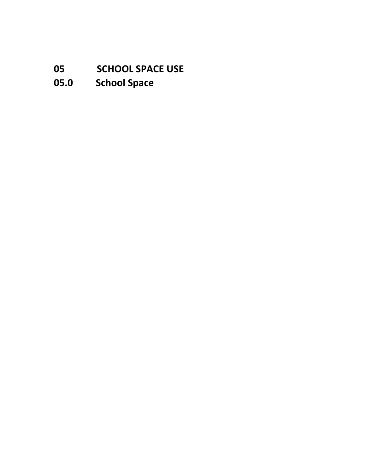### **05 SCHOOL SPACE USE**

# **05.0 School Space**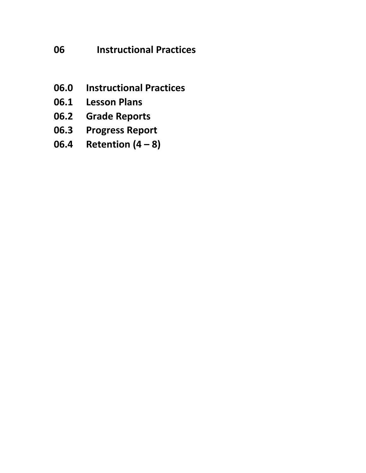### **06 Instructional Practices**

- **06.0 Instructional Practices**
- **06.1 Lesson Plans**
- **06.2 Grade Reports**
- **06.3 Progress Report**
- **06.4 Retention (4 – 8)**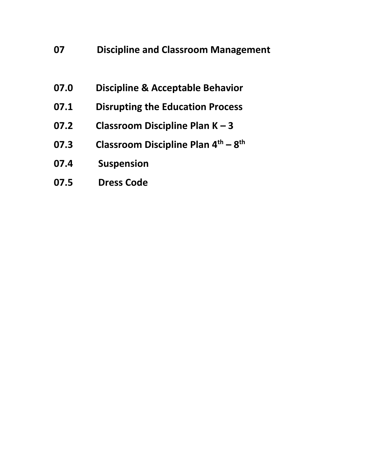#### **07 Discipline and Classroom Management**

- **07.0 Discipline & Acceptable Behavior**
- **07.1 Disrupting the Education Process**
- **07.2 Classroom Discipline Plan K – 3**
- **07.3 Classroom Discipline Plan 4th – 8 th**
- **07.4 Suspension**
- **07.5 Dress Code**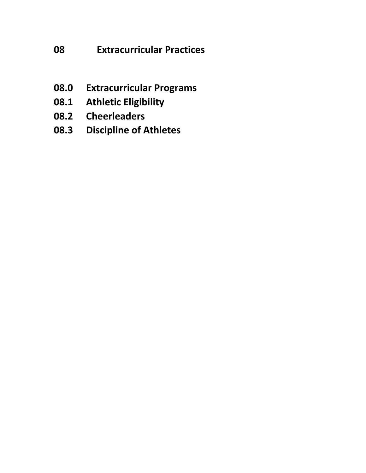### **08 Extracurricular Practices**

- **08.0 Extracurricular Programs**
- **08.1 Athletic Eligibility**
- **08.2 Cheerleaders**
- **08.3 Discipline of Athletes**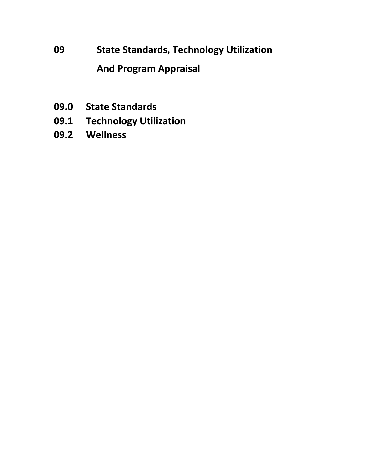# **09 State Standards, Technology Utilization And Program Appraisal**

- **09.0 State Standards**
- **09.1 Technology Utilization**
- **09.2 Wellness**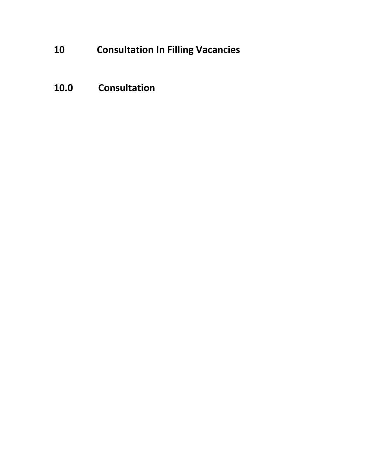# **10 Consultation In Filling Vacancies**

### **10.0 Consultation**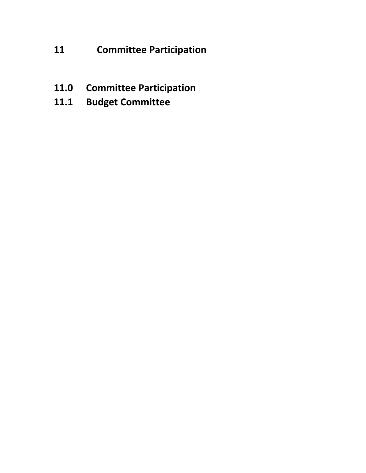### **11 Committee Participation**

- **11.0 Committee Participation**
- **11.1 Budget Committee**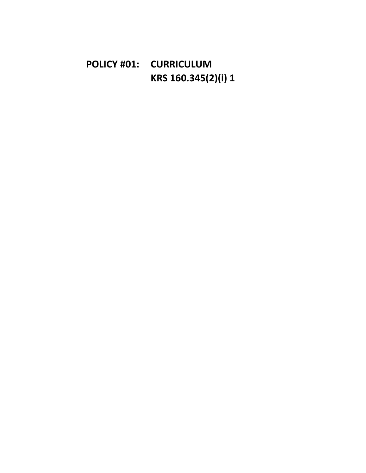# **POLICY #01: CURRICULUM KRS 160.345(2)(i) 1**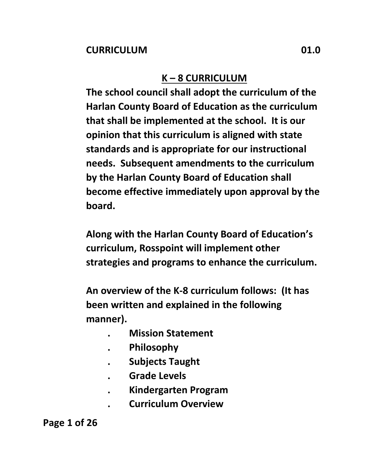### **K – 8 CURRICULUM**

**The school council shall adopt the curriculum of the Harlan County Board of Education as the curriculum that shall be implemented at the school. It is our opinion that this curriculum is aligned with state standards and is appropriate for our instructional needs. Subsequent amendments to the curriculum by the Harlan County Board of Education shall become effective immediately upon approval by the board.** 

**Along with the Harlan County Board of Education's curriculum, Rosspoint will implement other strategies and programs to enhance the curriculum.**

**An overview of the K-8 curriculum follows: (It has been written and explained in the following manner).**

- **. Mission Statement**
- **. Philosophy**
- **. Subjects Taught**
- **. Grade Levels**
- **. Kindergarten Program**
	- **. Curriculum Overview**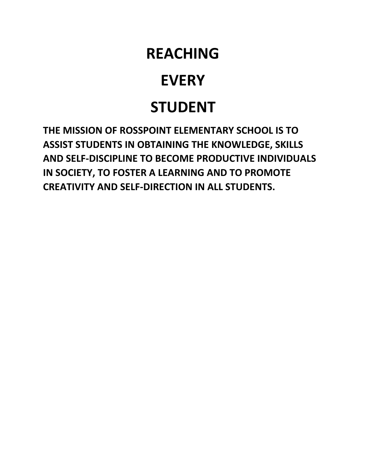# **REACHING**

# **EVERY**

# **STUDENT**

**THE MISSION OF ROSSPOINT ELEMENTARY SCHOOL IS TO ASSIST STUDENTS IN OBTAINING THE KNOWLEDGE, SKILLS AND SELF-DISCIPLINE TO BECOME PRODUCTIVE INDIVIDUALS IN SOCIETY, TO FOSTER A LEARNING AND TO PROMOTE CREATIVITY AND SELF-DIRECTION IN ALL STUDENTS.**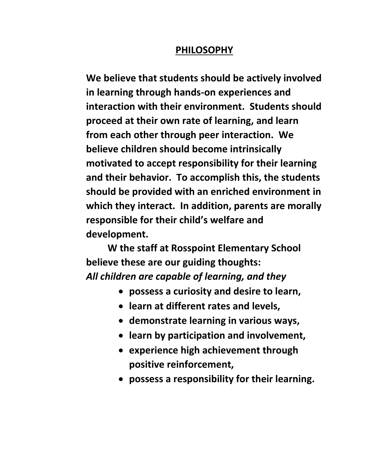#### **PHILOSOPHY**

**We believe that students should be actively involved in learning through hands-on experiences and interaction with their environment. Students should proceed at their own rate of learning, and learn from each other through peer interaction. We believe children should become intrinsically motivated to accept responsibility for their learning and their behavior. To accomplish this, the students should be provided with an enriched environment in which they interact. In addition, parents are morally responsible for their child's welfare and development.**

**W the staff at Rosspoint Elementary School believe these are our guiding thoughts:** *All children are capable of learning, and they*

- **possess a curiosity and desire to learn,**
- **learn at different rates and levels,**
- **demonstrate learning in various ways,**
- **learn by participation and involvement,**
- **experience high achievement through positive reinforcement,**
- **possess a responsibility for their learning.**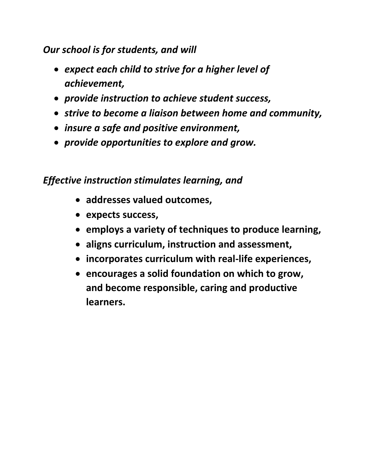#### *Our school is for students, and will*

- *expect each child to strive for a higher level of achievement,*
- *provide instruction to achieve student success,*
- *strive to become a liaison between home and community,*
- *insure a safe and positive environment,*
- *provide opportunities to explore and grow.*

#### *Effective instruction stimulates learning, and*

- **addresses valued outcomes,**
- **expects success,**
- **employs a variety of techniques to produce learning,**
- **aligns curriculum, instruction and assessment,**
- **incorporates curriculum with real-life experiences,**
- **encourages a solid foundation on which to grow, and become responsible, caring and productive learners.**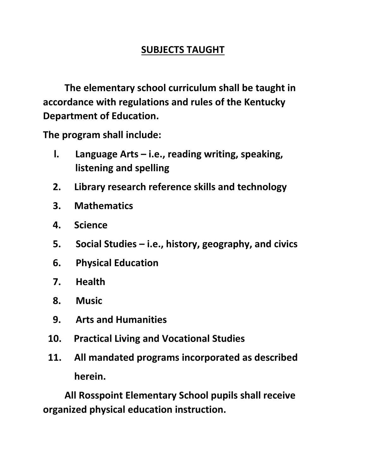#### **SUBJECTS TAUGHT**

**The elementary school curriculum shall be taught in accordance with regulations and rules of the Kentucky Department of Education.**

**The program shall include:**

- **l. Language Arts – i.e., reading writing, speaking, listening and spelling**
- **2. Library research reference skills and technology**
- **3. Mathematics**
- **4. Science**
- **5. Social Studies – i.e., history, geography, and civics**
- **6. Physical Education**
- **7. Health**
- **8. Music**
- **9. Arts and Humanities**
- **10. Practical Living and Vocational Studies**
- **11. All mandated programs incorporated as described herein.**

**All Rosspoint Elementary School pupils shall receive organized physical education instruction.**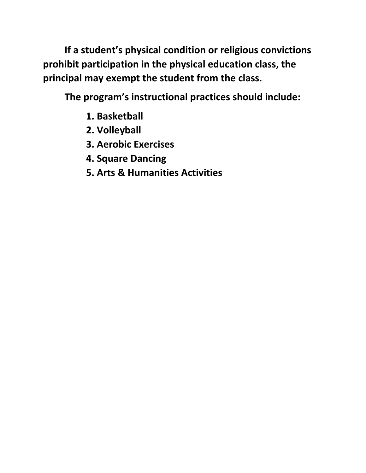**If a student's physical condition or religious convictions prohibit participation in the physical education class, the principal may exempt the student from the class.**

**The program's instructional practices should include:**

- **1. Basketball**
- **2. Volleyball**
- **3. Aerobic Exercises**
- **4. Square Dancing**
- **5. Arts & Humanities Activities**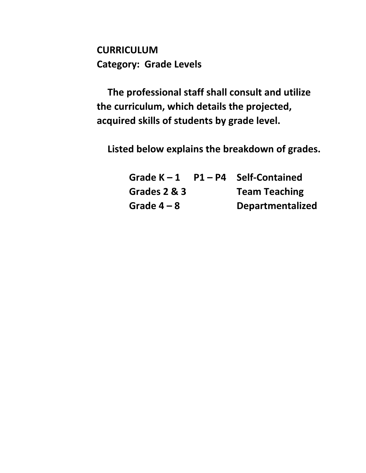**CURRICULUM Category: Grade Levels**

**The professional staff shall consult and utilize the curriculum, which details the projected, acquired skills of students by grade level.**

**Listed below explains the breakdown of grades.**

**Grade K – 1 P1 – P4 Self-Contained Grades 2 & 3 Team Teaching Grade 4 – 8 Departmentalized**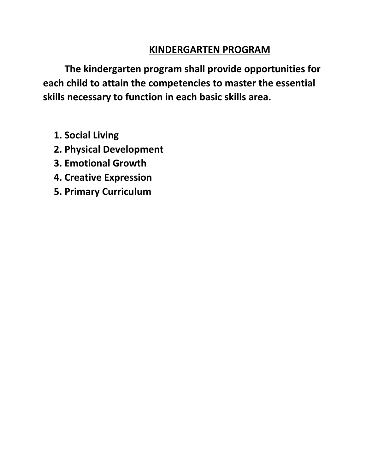#### **KINDERGARTEN PROGRAM**

**The kindergarten program shall provide opportunities for each child to attain the competencies to master the essential skills necessary to function in each basic skills area.**

- **1. Social Living**
- **2. Physical Development**
- **3. Emotional Growth**
- **4. Creative Expression**
- **5. Primary Curriculum**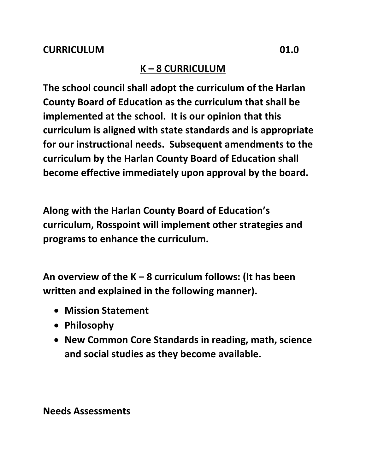#### **K – 8 CURRICULUM**

**The school council shall adopt the curriculum of the Harlan County Board of Education as the curriculum that shall be implemented at the school. It is our opinion that this curriculum is aligned with state standards and is appropriate for our instructional needs. Subsequent amendments to the curriculum by the Harlan County Board of Education shall become effective immediately upon approval by the board.**

**Along with the Harlan County Board of Education's curriculum, Rosspoint will implement other strategies and programs to enhance the curriculum.**

**An overview of the K – 8 curriculum follows: (It has been written and explained in the following manner).**

- **Mission Statement**
- **Philosophy**
- **New Common Core Standards in reading, math, science and social studies as they become available.**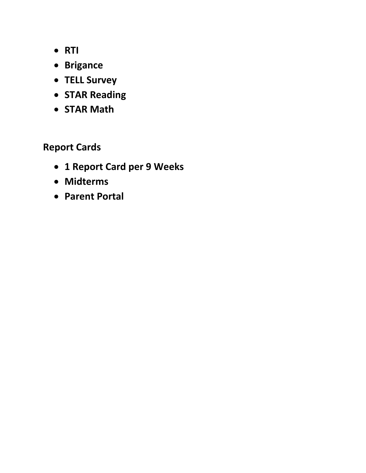- **RTI**
- **Brigance**
- **TELL Survey**
- **STAR Reading**
- **STAR Math**

**Report Cards**

- **1 Report Card per 9 Weeks**
- **Midterms**
- **Parent Portal**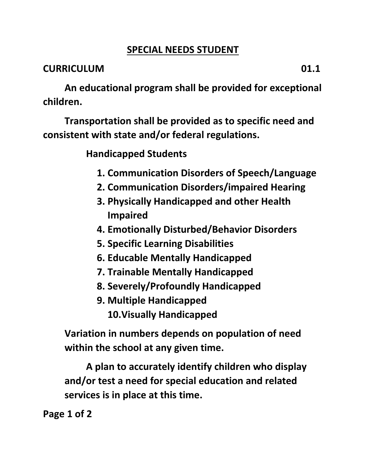#### **SPECIAL NEEDS STUDENT**

#### **CURRICULUM 01.1**

**An educational program shall be provided for exceptional children.**

**Transportation shall be provided as to specific need and consistent with state and/or federal regulations.**

**Handicapped Students**

- **1. Communication Disorders of Speech/Language**
- **2. Communication Disorders/impaired Hearing**
- **3. Physically Handicapped and other Health Impaired**
- **4. Emotionally Disturbed/Behavior Disorders**
- **5. Specific Learning Disabilities**
- **6. Educable Mentally Handicapped**
- **7. Trainable Mentally Handicapped**
- **8. Severely/Profoundly Handicapped**
- **9. Multiple Handicapped 10.Visually Handicapped**

**Variation in numbers depends on population of need within the school at any given time.**

**A plan to accurately identify children who display and/or test a need for special education and related services is in place at this time.**

**Page 1 of 2**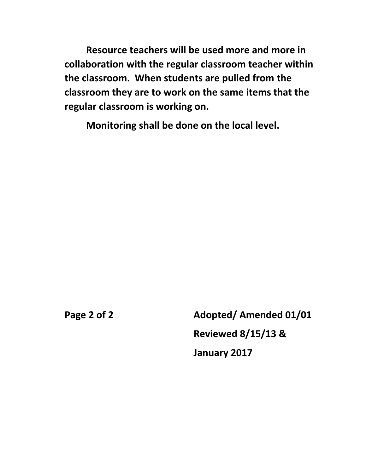**Resource teachers will be used more and more in collaboration with the regular classroom teacher within the classroom. When students are pulled from the classroom they are to work on the same items that the regular classroom is working on.**

**Monitoring shall be done on the local level.**

Page 2 of 2 **Adopted/ Amended 01/01 Reviewed 8/15/13 & January 2017**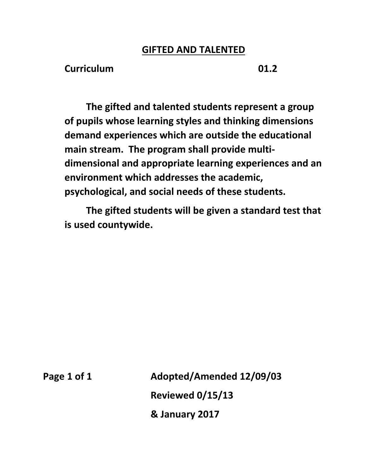#### **GIFTED AND TALENTED**

**Curriculum 01.2**

**The gifted and talented students represent a group of pupils whose learning styles and thinking dimensions demand experiences which are outside the educational main stream. The program shall provide multidimensional and appropriate learning experiences and an environment which addresses the academic, psychological, and social needs of these students.** 

**The gifted students will be given a standard test that is used countywide.**

**Page 1 of 1 Adopted/Amended 12/09/03 Reviewed 0/15/13 & January 2017**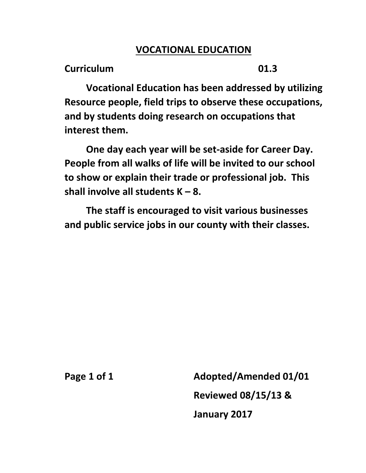#### **VOCATIONAL EDUCATION**

**Curriculum 01.3**

**Vocational Education has been addressed by utilizing Resource people, field trips to observe these occupations, and by students doing research on occupations that interest them.**

**One day each year will be set-aside for Career Day. People from all walks of life will be invited to our school to show or explain their trade or professional job. This shall involve all students K – 8.**

**The staff is encouraged to visit various businesses and public service jobs in our county with their classes.**

**Page 1 of 1 Adopted/Amended 01/01 Reviewed 08/15/13 & January 2017**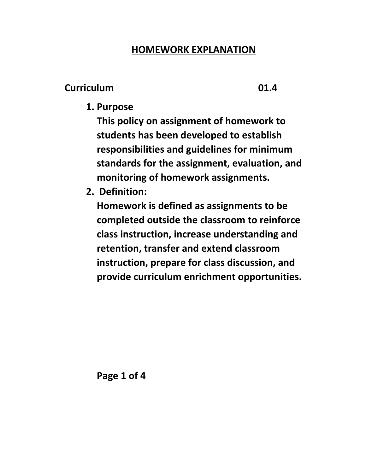#### **HOMEWORK EXPLANATION**

#### **Curriculum 01.4**

**1. Purpose**

**This policy on assignment of homework to students has been developed to establish responsibilities and guidelines for minimum standards for the assignment, evaluation, and monitoring of homework assignments.**

**2. Definition:**

**Homework is defined as assignments to be completed outside the classroom to reinforce class instruction, increase understanding and retention, transfer and extend classroom instruction, prepare for class discussion, and provide curriculum enrichment opportunities.**

**Page 1 of 4**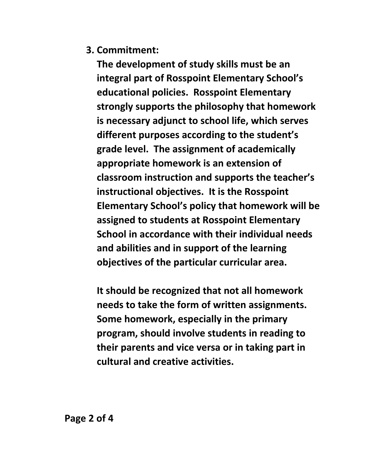**3. Commitment:**

**The development of study skills must be an integral part of Rosspoint Elementary School's educational policies. Rosspoint Elementary strongly supports the philosophy that homework is necessary adjunct to school life, which serves different purposes according to the student's grade level. The assignment of academically appropriate homework is an extension of classroom instruction and supports the teacher's instructional objectives. It is the Rosspoint Elementary School's policy that homework will be assigned to students at Rosspoint Elementary School in accordance with their individual needs and abilities and in support of the learning objectives of the particular curricular area.**

**It should be recognized that not all homework needs to take the form of written assignments. Some homework, especially in the primary program, should involve students in reading to their parents and vice versa or in taking part in cultural and creative activities.**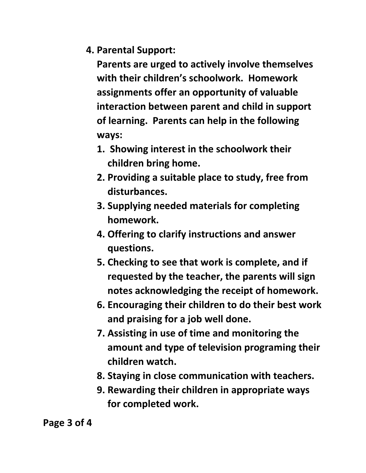**4. Parental Support:**

**Parents are urged to actively involve themselves with their children's schoolwork. Homework assignments offer an opportunity of valuable interaction between parent and child in support of learning. Parents can help in the following ways:**

- **1. Showing interest in the schoolwork their children bring home.**
- **2. Providing a suitable place to study, free from disturbances.**
- **3. Supplying needed materials for completing homework.**
- **4. Offering to clarify instructions and answer questions.**
- **5. Checking to see that work is complete, and if requested by the teacher, the parents will sign notes acknowledging the receipt of homework.**
- **6. Encouraging their children to do their best work and praising for a job well done.**
- **7. Assisting in use of time and monitoring the amount and type of television programing their children watch.**
- **8. Staying in close communication with teachers.**
- **9. Rewarding their children in appropriate ways for completed work.**

**Page 3 of 4**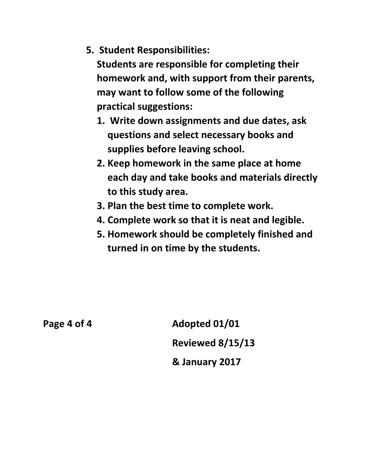**5. Student Responsibilities:**

**Students are responsible for completing their homework and, with support from their parents, may want to follow some of the following practical suggestions:**

- **1. Write down assignments and due dates, ask questions and select necessary books and supplies before leaving school.**
- **2. Keep homework in the same place at home each day and take books and materials directly to this study area.**
- **3. Plan the best time to complete work.**
- **4. Complete work so that it is neat and legible.**
- **5. Homework should be completely finished and turned in on time by the students.**

**Page 4 of 4 Adopted 01/01 Reviewed 8/15/13 & January 2017**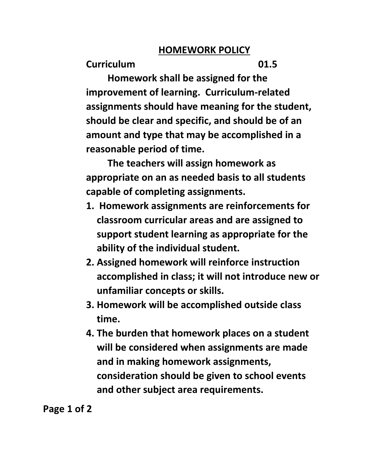#### **HOMEWORK POLICY**

**Curriculum 01.5**

**Homework shall be assigned for the improvement of learning. Curriculum-related assignments should have meaning for the student, should be clear and specific, and should be of an amount and type that may be accomplished in a reasonable period of time.**

**The teachers will assign homework as appropriate on an as needed basis to all students capable of completing assignments.**

- **1. Homework assignments are reinforcements for classroom curricular areas and are assigned to support student learning as appropriate for the ability of the individual student.**
- **2. Assigned homework will reinforce instruction accomplished in class; it will not introduce new or unfamiliar concepts or skills.**
- **3. Homework will be accomplished outside class time.**
- **4. The burden that homework places on a student will be considered when assignments are made and in making homework assignments, consideration should be given to school events and other subject area requirements.**

**Page 1 of 2**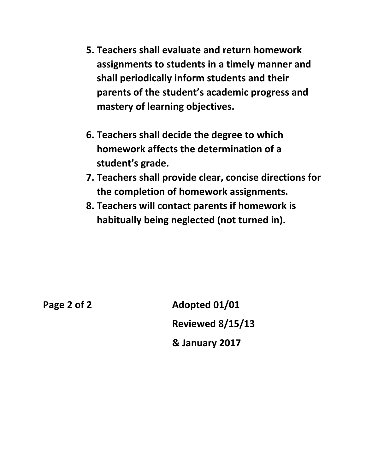- **5. Teachers shall evaluate and return homework assignments to students in a timely manner and shall periodically inform students and their parents of the student's academic progress and mastery of learning objectives.**
- **6. Teachers shall decide the degree to which homework affects the determination of a student's grade.**
- **7. Teachers shall provide clear, concise directions for the completion of homework assignments.**
- **8. Teachers will contact parents if homework is habitually being neglected (not turned in).**

**Page 2 of 2 Adopted 01/01 Reviewed 8/15/13 & January 2017**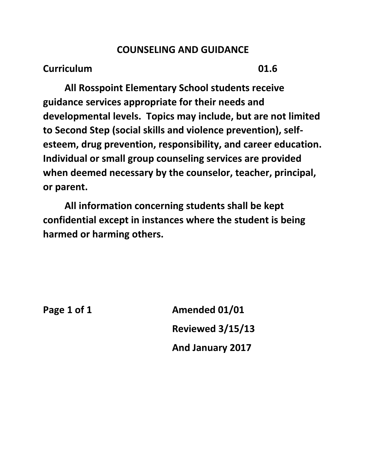#### **COUNSELING AND GUIDANCE**

#### **Curriculum 01.6**

**All Rosspoint Elementary School students receive guidance services appropriate for their needs and developmental levels. Topics may include, but are not limited to Second Step (social skills and violence prevention), selfesteem, drug prevention, responsibility, and career education. Individual or small group counseling services are provided when deemed necessary by the counselor, teacher, principal, or parent.** 

**All information concerning students shall be kept confidential except in instances where the student is being harmed or harming others.**

**Page 1 of 1 Amended 01/01 Reviewed 3/15/13 And January 2017**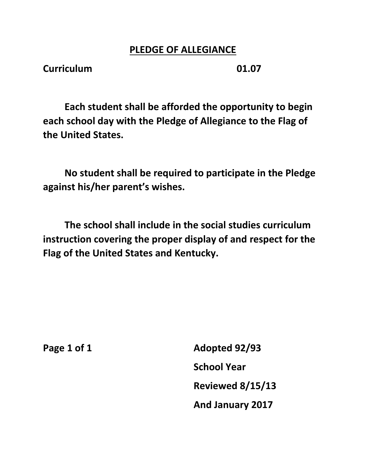#### **PLEDGE OF ALLEGIANCE**

**Curriculum 01.07**

**Each student shall be afforded the opportunity to begin each school day with the Pledge of Allegiance to the Flag of the United States.**

**No student shall be required to participate in the Pledge against his/her parent's wishes.**

**The school shall include in the social studies curriculum instruction covering the proper display of and respect for the Flag of the United States and Kentucky.**

**Page 1 of 1 Adopted 92/93 School Year Reviewed 8/15/13 And January 2017**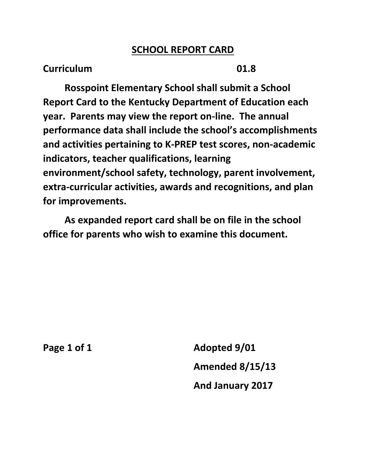#### **SCHOOL REPORT CARD**

#### **Curriculum 01.8**

**Rosspoint Elementary School shall submit a School Report Card to the Kentucky Department of Education each year. Parents may view the report on-line. The annual performance data shall include the school's accomplishments and activities pertaining to K-PREP test scores, non-academic indicators, teacher qualifications, learning environment/school safety, technology, parent involvement, extra-curricular activities, awards and recognitions, and plan for improvements.** 

**As expanded report card shall be on file in the school office for parents who wish to examine this document.**

**Page 1 of 1 Adopted 9/01 Amended 8/15/13 And January 2017**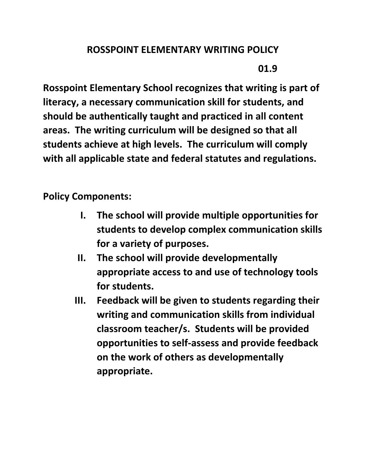## **ROSSPOINT ELEMENTARY WRITING POLICY**

**01.9**

**Rosspoint Elementary School recognizes that writing is part of literacy, a necessary communication skill for students, and should be authentically taught and practiced in all content areas. The writing curriculum will be designed so that all students achieve at high levels. The curriculum will comply with all applicable state and federal statutes and regulations.**

**Policy Components:**

- **I. The school will provide multiple opportunities for students to develop complex communication skills for a variety of purposes.**
- **II. The school will provide developmentally appropriate access to and use of technology tools for students.**
- **III. Feedback will be given to students regarding their writing and communication skills from individual classroom teacher/s. Students will be provided opportunities to self-assess and provide feedback on the work of others as developmentally appropriate.**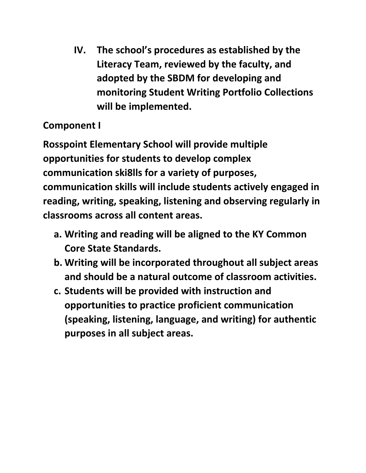**IV. The school's procedures as established by the Literacy Team, reviewed by the faculty, and adopted by the SBDM for developing and monitoring Student Writing Portfolio Collections will be implemented.**

# **Component I**

**Rosspoint Elementary School will provide multiple opportunities for students to develop complex communication ski8lls for a variety of purposes, communication skills will include students actively engaged in reading, writing, speaking, listening and observing regularly in classrooms across all content areas.**

- **a. Writing and reading will be aligned to the KY Common Core State Standards.**
- **b. Writing will be incorporated throughout all subject areas and should be a natural outcome of classroom activities.**
- **c. Students will be provided with instruction and opportunities to practice proficient communication (speaking, listening, language, and writing) for authentic purposes in all subject areas.**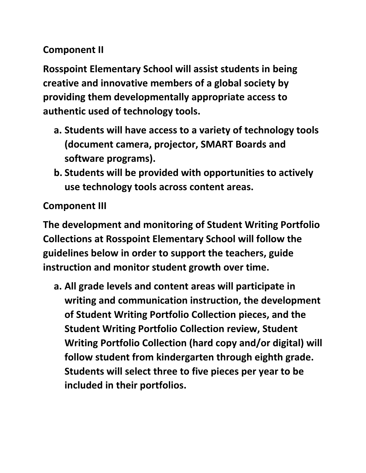# **Component II**

**Rosspoint Elementary School will assist students in being creative and innovative members of a global society by providing them developmentally appropriate access to authentic used of technology tools.**

- **a. Students will have access to a variety of technology tools (document camera, projector, SMART Boards and software programs).**
- **b. Students will be provided with opportunities to actively use technology tools across content areas.**

## **Component III**

**The development and monitoring of Student Writing Portfolio Collections at Rosspoint Elementary School will follow the guidelines below in order to support the teachers, guide instruction and monitor student growth over time.**

**a. All grade levels and content areas will participate in writing and communication instruction, the development of Student Writing Portfolio Collection pieces, and the Student Writing Portfolio Collection review, Student Writing Portfolio Collection (hard copy and/or digital) will follow student from kindergarten through eighth grade. Students will select three to five pieces per year to be included in their portfolios.**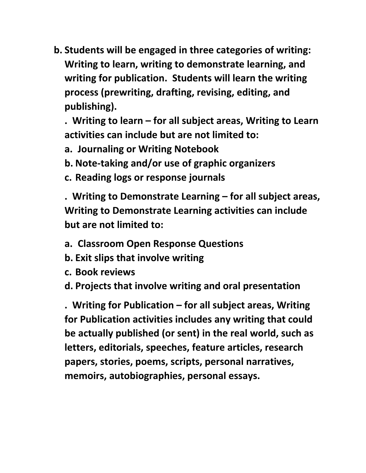**b. Students will be engaged in three categories of writing: Writing to learn, writing to demonstrate learning, and writing for publication. Students will learn the writing process (prewriting, drafting, revising, editing, and publishing).**

**. Writing to learn – for all subject areas, Writing to Learn activities can include but are not limited to:**

- **a. Journaling or Writing Notebook**
- **b. Note-taking and/or use of graphic organizers**
- **c. Reading logs or response journals**

**. Writing to Demonstrate Learning – for all subject areas, Writing to Demonstrate Learning activities can include but are not limited to:**

- **a. Classroom Open Response Questions**
- **b. Exit slips that involve writing**
- **c. Book reviews**

**d. Projects that involve writing and oral presentation**

**. Writing for Publication – for all subject areas, Writing for Publication activities includes any writing that could be actually published (or sent) in the real world, such as letters, editorials, speeches, feature articles, research papers, stories, poems, scripts, personal narratives, memoirs, autobiographies, personal essays.**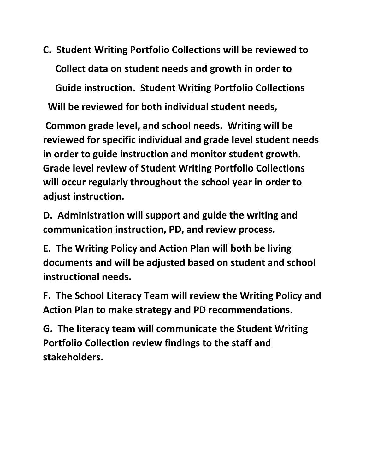**C. Student Writing Portfolio Collections will be reviewed to Collect data on student needs and growth in order to**

 **Guide instruction. Student Writing Portfolio Collections** 

 **Will be reviewed for both individual student needs,** 

**Common grade level, and school needs. Writing will be reviewed for specific individual and grade level student needs in order to guide instruction and monitor student growth. Grade level review of Student Writing Portfolio Collections will occur regularly throughout the school year in order to adjust instruction.**

**D. Administration will support and guide the writing and communication instruction, PD, and review process.**

**E. The Writing Policy and Action Plan will both be living documents and will be adjusted based on student and school instructional needs.**

**F. The School Literacy Team will review the Writing Policy and Action Plan to make strategy and PD recommendations.**

**G. The literacy team will communicate the Student Writing Portfolio Collection review findings to the staff and stakeholders.**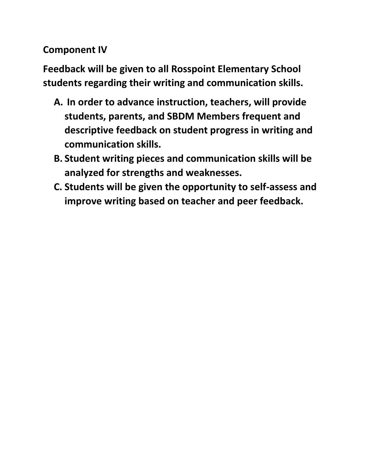**Component IV**

**Feedback will be given to all Rosspoint Elementary School students regarding their writing and communication skills.**

- **A. In order to advance instruction, teachers, will provide students, parents, and SBDM Members frequent and descriptive feedback on student progress in writing and communication skills.**
- **B. Student writing pieces and communication skills will be analyzed for strengths and weaknesses.**
- **C. Students will be given the opportunity to self-assess and improve writing based on teacher and peer feedback.**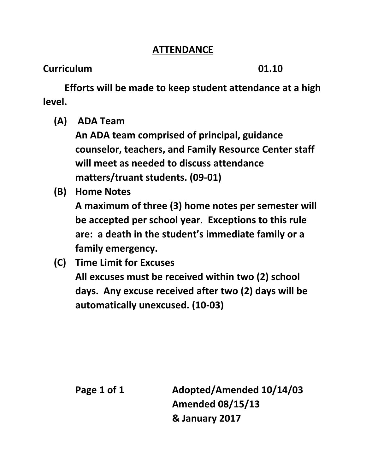### **ATTENDANCE**

## **Curriculum 01.10**

**Efforts will be made to keep student attendance at a high level.**

**(A) ADA Team**

**An ADA team comprised of principal, guidance counselor, teachers, and Family Resource Center staff will meet as needed to discuss attendance matters/truant students. (09-01)**

**(B) Home Notes**

**A maximum of three (3) home notes per semester will be accepted per school year. Exceptions to this rule are: a death in the student's immediate family or a family emergency.**

**(C) Time Limit for Excuses**

**All excuses must be received within two (2) school days. Any excuse received after two (2) days will be automatically unexcused. (10-03)**

**Page 1 of 1 Adopted/Amended 10/14/03 Amended 08/15/13 & January 2017**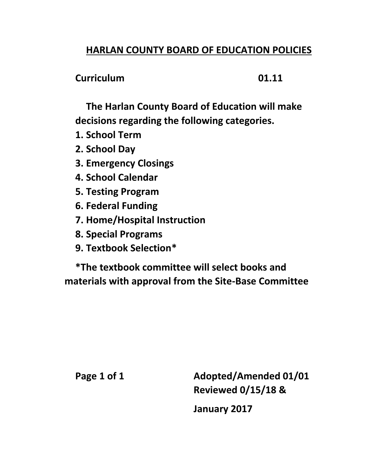## **HARLAN COUNTY BOARD OF EDUCATION POLICIES**

#### **Curriculum 01.11**

**The Harlan County Board of Education will make decisions regarding the following categories.**

- **1. School Term**
- **2. School Day**
- **3. Emergency Closings**
- **4. School Calendar**
- **5. Testing Program**
- **6. Federal Funding**
- **7. Home/Hospital Instruction**
- **8. Special Programs**
- **9. Textbook Selection\***

**\*The textbook committee will select books and materials with approval from the Site-Base Committee**

Page 1 of 1 **Adopted/Amended 01/01 Reviewed 0/15/18 & January 2017**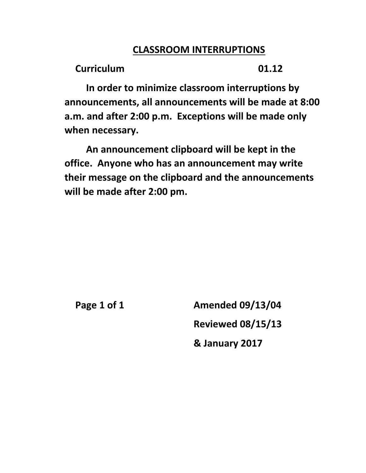## **CLASSROOM INTERRUPTIONS**

**Curriculum 01.12**

**In order to minimize classroom interruptions by announcements, all announcements will be made at 8:00 a.m. and after 2:00 p.m. Exceptions will be made only when necessary.**

**An announcement clipboard will be kept in the office. Anyone who has an announcement may write their message on the clipboard and the announcements will be made after 2:00 pm.**

**Page 1 of 1 Amended 09/13/04 Reviewed 08/15/13 & January 2017**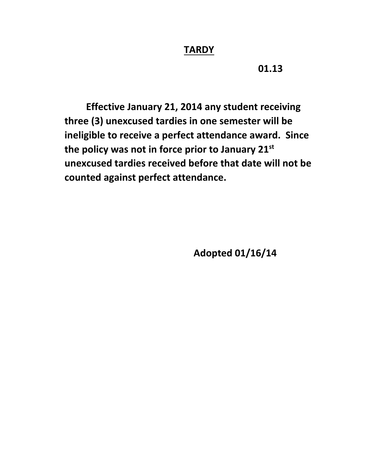#### **TARDY**

**01.13**

**Effective January 21, 2014 any student receiving three (3) unexcused tardies in one semester will be ineligible to receive a perfect attendance award. Since the policy was not in force prior to January 21st unexcused tardies received before that date will not be counted against perfect attendance.**

**Adopted 01/16/14**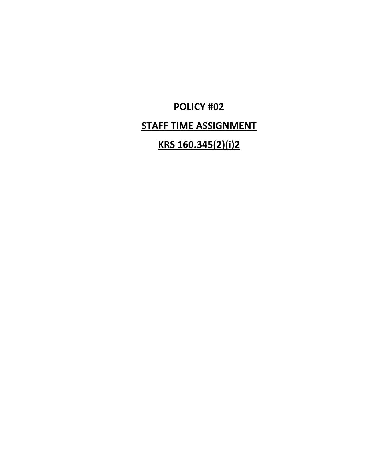# **POLICY #02**

# **STAFF TIME ASSIGNMENT**

# **KRS 160.345(2)(i)2**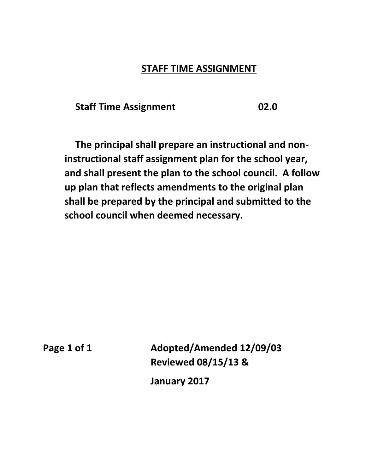#### **STAFF TIME ASSIGNMENT**

**Staff Time Assignment 02.0**

**The principal shall prepare an instructional and noninstructional staff assignment plan for the school year, and shall present the plan to the school council. A follow up plan that reflects amendments to the original plan shall be prepared by the principal and submitted to the school council when deemed necessary.**

Page 1 of 1 Adopted/Amended 12/09/03 **Reviewed 08/15/13 &** 

**January 2017**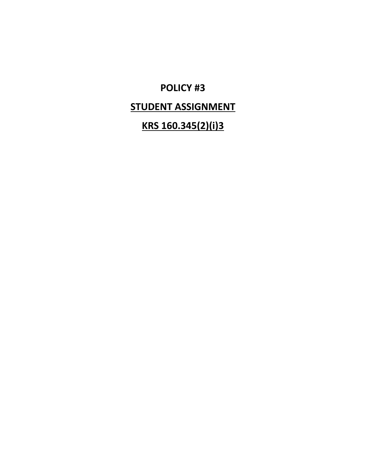# **POLICY #3**

# **STUDENT ASSIGNMENT**

# **KRS 160.345(2)(i)3**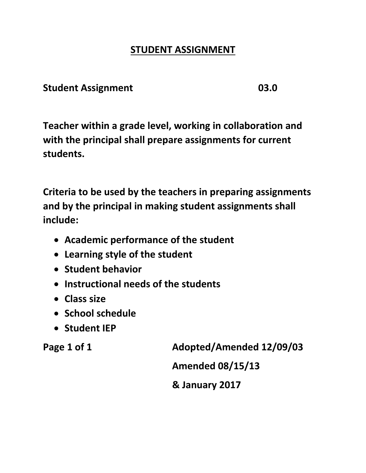# **STUDENT ASSIGNMENT**

### **Student Assignment 03.0**

**Teacher within a grade level, working in collaboration and with the principal shall prepare assignments for current students.**

**Criteria to be used by the teachers in preparing assignments and by the principal in making student assignments shall include:**

- **Academic performance of the student**
- **Learning style of the student**
- **Student behavior**
- **Instructional needs of the students**
- **Class size**
- **School schedule**
- **Student IEP**

**Page 1 of 1 Adopted/Amended 12/09/03**

**Amended 08/15/13**

**& January 2017**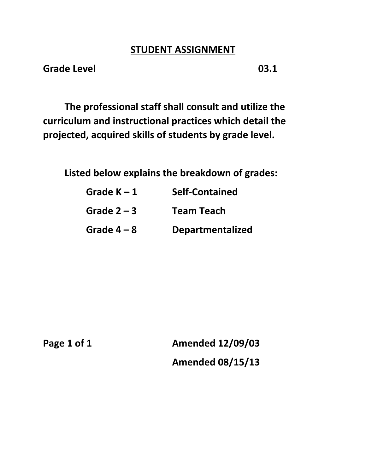#### **STUDENT ASSIGNMENT**

**Grade Level 03.1**

**The professional staff shall consult and utilize the curriculum and instructional practices which detail the projected, acquired skills of students by grade level.**

**Listed below explains the breakdown of grades:**

| Grade $K - 1$ | <b>Self-Contained</b>   |
|---------------|-------------------------|
| Grade $2 - 3$ | <b>Team Teach</b>       |
| Grade $4-8$   | <b>Departmentalized</b> |

**Page 1 of 1 Amended 12/09/03 Amended 08/15/13**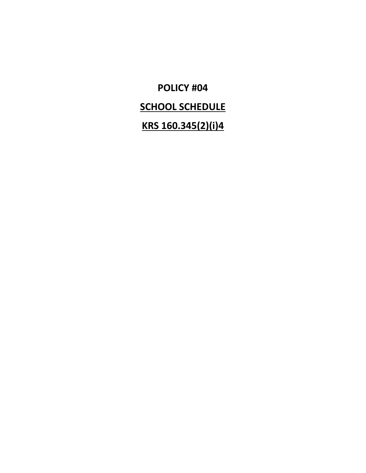**POLICY #04 SCHOOL SCHEDULE KRS 160.345(2)(i)4**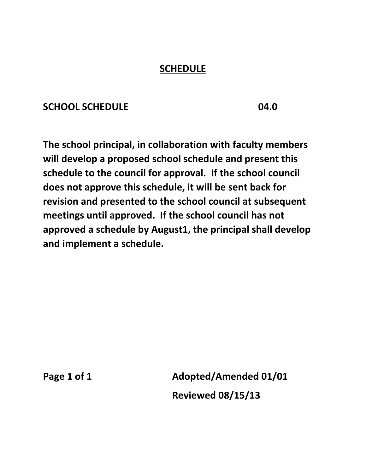## **SCHEDULE**

## **SCHOOL SCHEDULE 04.0**

**The school principal, in collaboration with faculty members will develop a proposed school schedule and present this schedule to the council for approval. If the school council does not approve this schedule, it will be sent back for revision and presented to the school council at subsequent meetings until approved. If the school council has not approved a schedule by August1, the principal shall develop and implement a schedule.**

Page 1 of 1 **Adopted/Amended 01/01 Reviewed 08/15/13**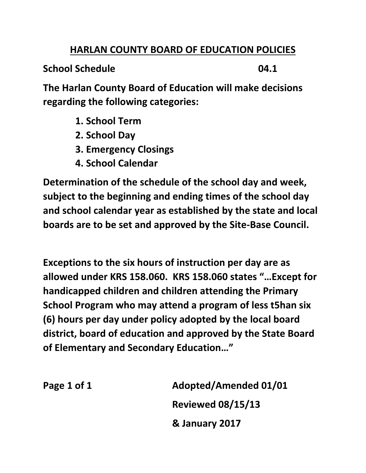## **HARLAN COUNTY BOARD OF EDUCATION POLICIES**

**School Schedule 04.1**

**The Harlan County Board of Education will make decisions regarding the following categories:**

- **1. School Term**
- **2. School Day**
- **3. Emergency Closings**
- **4. School Calendar**

**Determination of the schedule of the school day and week, subject to the beginning and ending times of the school day and school calendar year as established by the state and local boards are to be set and approved by the Site-Base Council.**

**Exceptions to the six hours of instruction per day are as allowed under KRS 158.060. KRS 158.060 states "…Except for handicapped children and children attending the Primary School Program who may attend a program of less t5han six (6) hours per day under policy adopted by the local board district, board of education and approved by the State Board of Elementary and Secondary Education…"**

Page 1 of 1 **Adopted/Amended 01/01 Reviewed 08/15/13 & January 2017**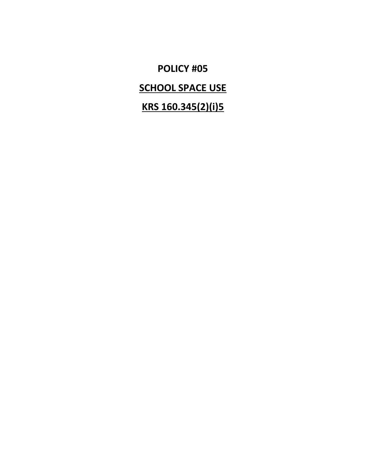**POLICY #05**

**SCHOOL SPACE USE**

**KRS 160.345(2)(i)5**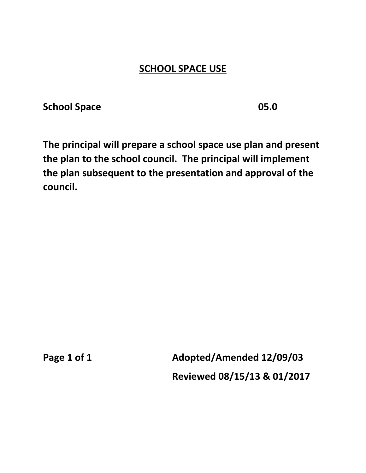# **SCHOOL SPACE USE**

**School Space 05.0**

**The principal will prepare a school space use plan and present the plan to the school council. The principal will implement the plan subsequent to the presentation and approval of the council.**

**Page 1 of 1 Adopted/Amended 12/09/03 Reviewed 08/15/13 & 01/2017**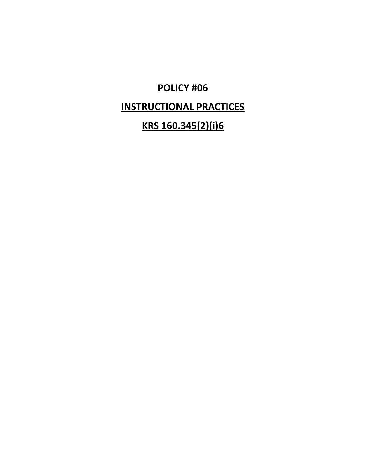# **POLICY #06**

# **INSTRUCTIONAL PRACTICES**

# **KRS 160.345(2)(i)6**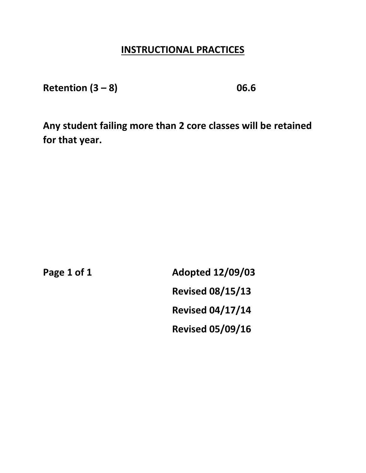**Retention (3 – 8) 06.6**

**Any student failing more than 2 core classes will be retained for that year.**

**Page 1 of 1 Adopted 12/09/03 Revised 08/15/13 Revised 04/17/14 Revised 05/09/16**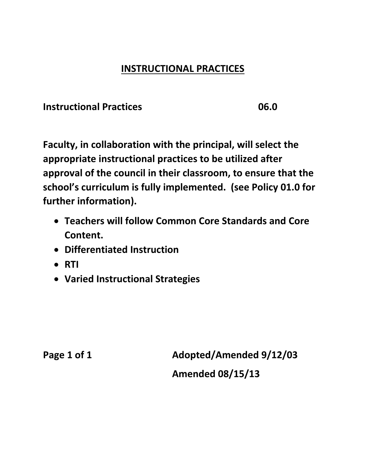**Instructional Practices 06.0**

**Faculty, in collaboration with the principal, will select the appropriate instructional practices to be utilized after approval of the council in their classroom, to ensure that the school's curriculum is fully implemented. (see Policy 01.0 for further information).**

- **Teachers will follow Common Core Standards and Core Content.**
- **Differentiated Instruction**
- **RTI**
- **Varied Instructional Strategies**

**Page 1 of 1 Adopted/Amended 9/12/03 Amended 08/15/13**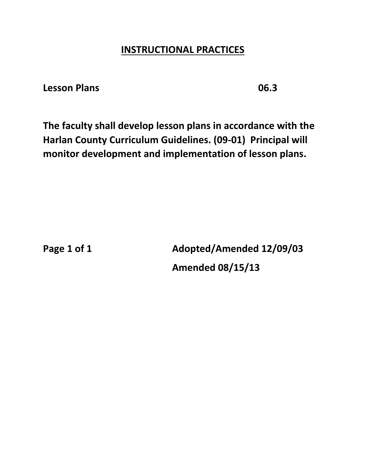**Lesson Plans 06.3**

**The faculty shall develop lesson plans in accordance with the Harlan County Curriculum Guidelines. (09-01) Principal will monitor development and implementation of lesson plans.**

**Page 1 of 1 Adopted/Amended 12/09/03 Amended 08/15/13**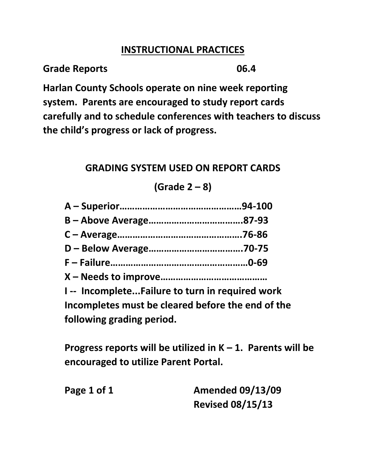**Grade Reports 06.4**

**Harlan County Schools operate on nine week reporting system. Parents are encouraged to study report cards carefully and to schedule conferences with teachers to discuss the child's progress or lack of progress.**

# **GRADING SYSTEM USED ON REPORT CARDS**

**(Grade 2 – 8)**

**I -- Incomplete...Failure to turn in required work Incompletes must be cleared before the end of the following grading period.**

**Progress reports will be utilized in K – 1. Parents will be encouraged to utilize Parent Portal.**

**Page 1 of 1 Amended 09/13/09 Revised 08/15/13**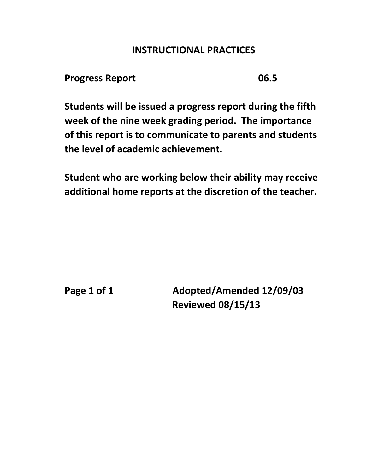#### **Progress Report 06.5**

**Students will be issued a progress report during the fifth week of the nine week grading period. The importance of this report is to communicate to parents and students the level of academic achievement.**

**Student who are working below their ability may receive additional home reports at the discretion of the teacher.**

Page 1 of 1 Adopted/Amended 12/09/03 **Reviewed 08/15/13**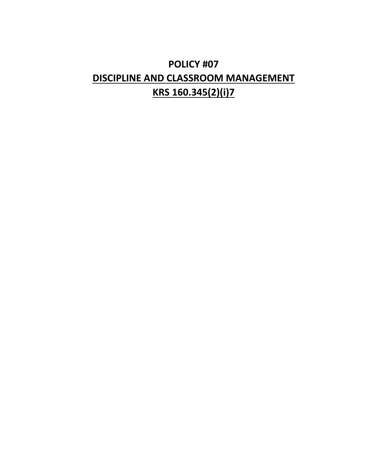# **POLICY #07 DISCIPLINE AND CLASSROOM MANAGEMENT KRS 160.345(2)(i)7**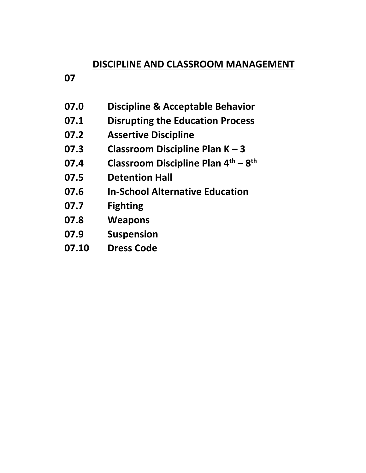## **07**

- **07.0 Discipline & Acceptable Behavior**
- **07.1 Disrupting the Education Process**
- **07.2 Assertive Discipline**
- **07.3 Classroom Discipline Plan K – 3**
- **07.4 Classroom Discipline Plan 4th – 8 th**
- **07.5 Detention Hall**
- **07.6 In-School Alternative Education**
- **07.7 Fighting**
- **07.8 Weapons**
- **07.9 Suspension**
- **07.10 Dress Code**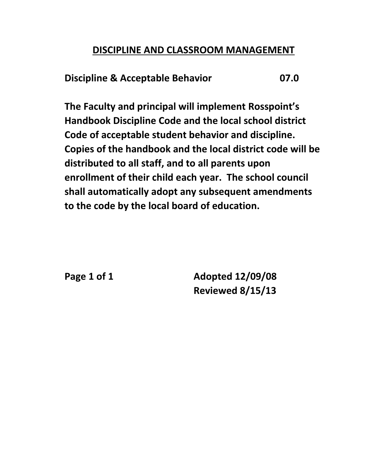**Discipline & Acceptable Behavior 07.0**

**The Faculty and principal will implement Rosspoint's Handbook Discipline Code and the local school district Code of acceptable student behavior and discipline. Copies of the handbook and the local district code will be distributed to all staff, and to all parents upon enrollment of their child each year. The school council shall automatically adopt any subsequent amendments to the code by the local board of education.**

**Page 1 of 1 Adopted 12/09/08 Reviewed 8/15/13**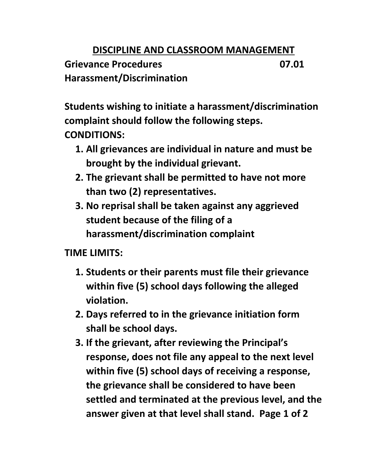**Grievance Procedures 07.01 Harassment/Discrimination**

**Students wishing to initiate a harassment/discrimination complaint should follow the following steps. CONDITIONS:**

- **1. All grievances are individual in nature and must be brought by the individual grievant.**
- **2. The grievant shall be permitted to have not more than two (2) representatives.**
- **3. No reprisal shall be taken against any aggrieved student because of the filing of a harassment/discrimination complaint**

# **TIME LIMITS:**

- **1. Students or their parents must file their grievance within five (5) school days following the alleged violation.**
- **2. Days referred to in the grievance initiation form shall be school days.**
- **3. If the grievant, after reviewing the Principal's response, does not file any appeal to the next level within five (5) school days of receiving a response, the grievance shall be considered to have been settled and terminated at the previous level, and the answer given at that level shall stand. Page 1 of 2**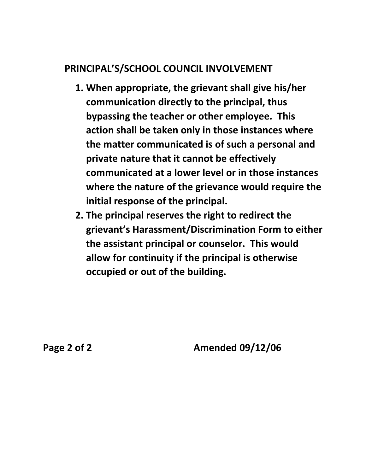# **PRINCIPAL'S/SCHOOL COUNCIL INVOLVEMENT**

- **1. When appropriate, the grievant shall give his/her communication directly to the principal, thus bypassing the teacher or other employee. This action shall be taken only in those instances where the matter communicated is of such a personal and private nature that it cannot be effectively communicated at a lower level or in those instances where the nature of the grievance would require the initial response of the principal.**
- **2. The principal reserves the right to redirect the grievant's Harassment/Discrimination Form to either the assistant principal or counselor. This would allow for continuity if the principal is otherwise occupied or out of the building.**

**Page 2 of 2 Amended 09/12/06**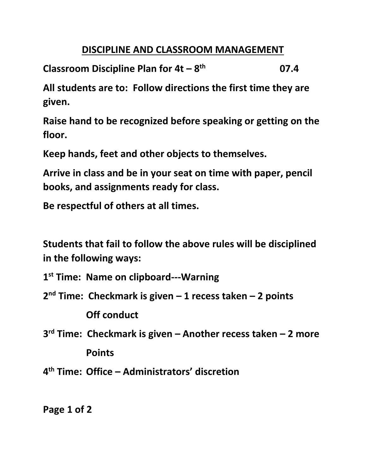**Classroom Discipline Plan for 4t – 8 th 07.4**

**All students are to: Follow directions the first time they are given.**

**Raise hand to be recognized before speaking or getting on the floor.**

**Keep hands, feet and other objects to themselves.**

**Arrive in class and be in your seat on time with paper, pencil books, and assignments ready for class.**

**Be respectful of others at all times.**

**Students that fail to follow the above rules will be disciplined in the following ways:**

**1 st Time: Name on clipboard---Warning**

**2 nd Time: Checkmark is given – 1 recess taken – 2 points Off conduct**

**3 rd Time: Checkmark is given – Another recess taken – 2 more Points** 

**4 th Time: Office – Administrators' discretion**

**Page 1 of 2**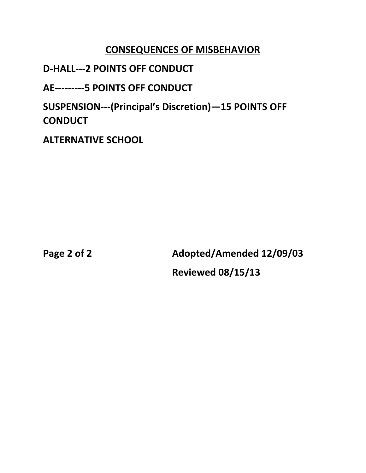## **CONSEQUENCES OF MISBEHAVIOR**

## **D-HALL---2 POINTS OFF CONDUCT**

**AE---------5 POINTS OFF CONDUCT**

**SUSPENSION---(Principal's Discretion)—15 POINTS OFF CONDUCT**

**ALTERNATIVE SCHOOL**

**Page 2 of 2 Adopted/Amended 12/09/03 Reviewed 08/15/13**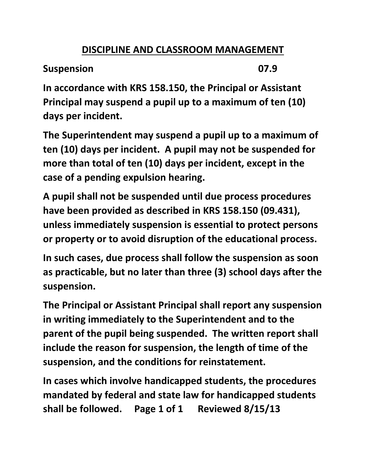**Suspension 07.9**

**In accordance with KRS 158.150, the Principal or Assistant Principal may suspend a pupil up to a maximum of ten (10) days per incident.**

**The Superintendent may suspend a pupil up to a maximum of ten (10) days per incident. A pupil may not be suspended for more than total of ten (10) days per incident, except in the case of a pending expulsion hearing.**

**A pupil shall not be suspended until due process procedures have been provided as described in KRS 158.150 (09.431), unless immediately suspension is essential to protect persons or property or to avoid disruption of the educational process.**

**In such cases, due process shall follow the suspension as soon as practicable, but no later than three (3) school days after the suspension.**

**The Principal or Assistant Principal shall report any suspension in writing immediately to the Superintendent and to the parent of the pupil being suspended. The written report shall include the reason for suspension, the length of time of the suspension, and the conditions for reinstatement.**

**In cases which involve handicapped students, the procedures mandated by federal and state law for handicapped students shall be followed. Page 1 of 1 Reviewed 8/15/13**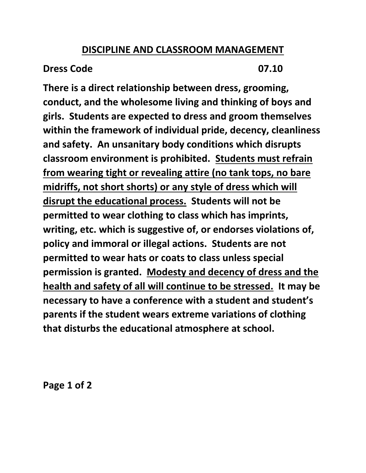## **Dress Code 07.10**

**There is a direct relationship between dress, grooming, conduct, and the wholesome living and thinking of boys and girls. Students are expected to dress and groom themselves within the framework of individual pride, decency, cleanliness and safety. An unsanitary body conditions which disrupts classroom environment is prohibited. Students must refrain from wearing tight or revealing attire (no tank tops, no bare midriffs, not short shorts) or any style of dress which will disrupt the educational process. Students will not be permitted to wear clothing to class which has imprints, writing, etc. which is suggestive of, or endorses violations of, policy and immoral or illegal actions. Students are not permitted to wear hats or coats to class unless special permission is granted. Modesty and decency of dress and the health and safety of all will continue to be stressed. It may be necessary to have a conference with a student and student's parents if the student wears extreme variations of clothing that disturbs the educational atmosphere at school.**

**Page 1 of 2**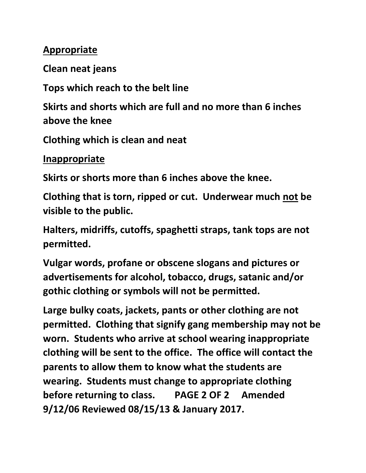# **Appropriate**

**Clean neat jeans**

**Tops which reach to the belt line**

**Skirts and shorts which are full and no more than 6 inches above the knee** 

**Clothing which is clean and neat**

**Inappropriate**

**Skirts or shorts more than 6 inches above the knee.**

**Clothing that is torn, ripped or cut. Underwear much not be visible to the public.** 

**Halters, midriffs, cutoffs, spaghetti straps, tank tops are not permitted.**

**Vulgar words, profane or obscene slogans and pictures or advertisements for alcohol, tobacco, drugs, satanic and/or gothic clothing or symbols will not be permitted.**

**Large bulky coats, jackets, pants or other clothing are not permitted. Clothing that signify gang membership may not be worn. Students who arrive at school wearing inappropriate clothing will be sent to the office. The office will contact the parents to allow them to know what the students are wearing. Students must change to appropriate clothing before returning to class. PAGE 2 OF 2 Amended 9/12/06 Reviewed 08/15/13 & January 2017.**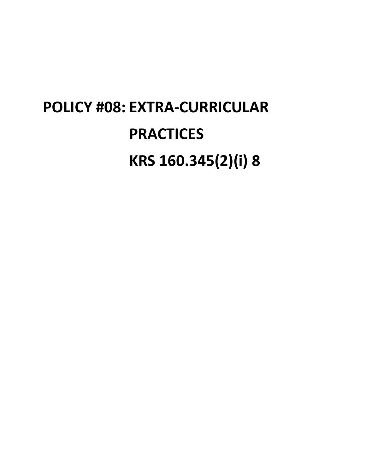# **POLICY #08: EXTRA-CURRICULAR PRACTICES KRS 160.345(2)(i) 8**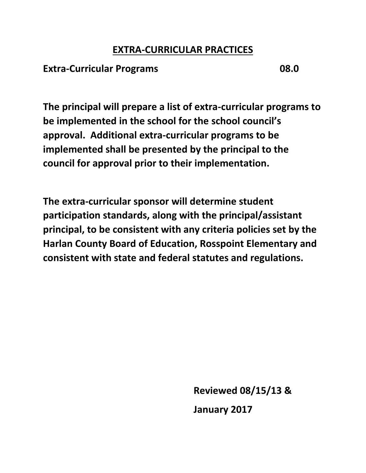#### **EXTRA-CURRICULAR PRACTICES**

#### **Extra-Curricular Programs 08.0**

**The principal will prepare a list of extra-curricular programs to be implemented in the school for the school council's approval. Additional extra-curricular programs to be implemented shall be presented by the principal to the council for approval prior to their implementation.**

**The extra-curricular sponsor will determine student participation standards, along with the principal/assistant principal, to be consistent with any criteria policies set by the Harlan County Board of Education, Rosspoint Elementary and consistent with state and federal statutes and regulations.**

**Reviewed 08/15/13 &**

**January 2017**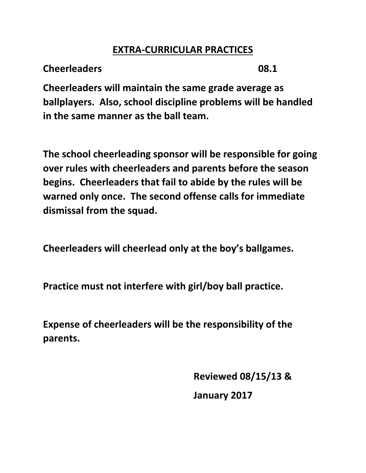### **EXTRA-CURRICULAR PRACTICES**

**Cheerleaders 08.1**

**Cheerleaders will maintain the same grade average as ballplayers. Also, school discipline problems will be handled in the same manner as the ball team.**

**The school cheerleading sponsor will be responsible for going over rules with cheerleaders and parents before the season begins. Cheerleaders that fail to abide by the rules will be warned only once. The second offense calls for immediate dismissal from the squad.**

**Cheerleaders will cheerlead only at the boy's ballgames.**

**Practice must not interfere with girl/boy ball practice.**

**Expense of cheerleaders will be the responsibility of the parents.**

> **Reviewed 08/15/13 & January 2017**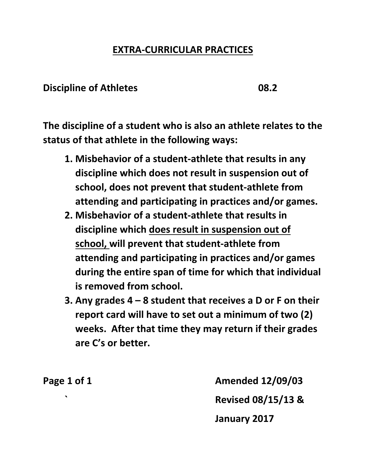### **EXTRA-CURRICULAR PRACTICES**

#### **Discipline of Athletes 08.2**

**The discipline of a student who is also an athlete relates to the status of that athlete in the following ways:**

- **1. Misbehavior of a student-athlete that results in any discipline which does not result in suspension out of school, does not prevent that student-athlete from attending and participating in practices and/or games.**
- **2. Misbehavior of a student-athlete that results in discipline which does result in suspension out of school, will prevent that student-athlete from attending and participating in practices and/or games during the entire span of time for which that individual is removed from school.**
- **3. Any grades 4 – 8 student that receives a D or F on their report card will have to set out a minimum of two (2) weeks. After that time they may return if their grades are C's or better.**

**Page 1 of 1 Amended 12/09/03 ` Revised 08/15/13 & January 2017**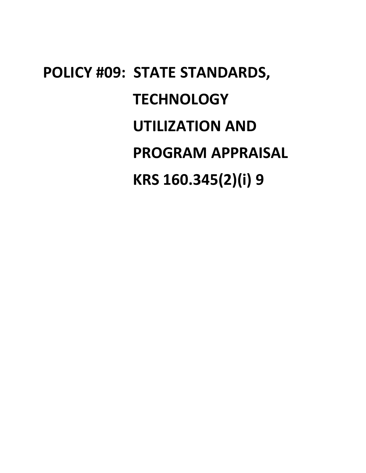# **POLICY #09: STATE STANDARDS, TECHNOLOGY UTILIZATION AND PROGRAM APPRAISAL KRS 160.345(2)(i) 9**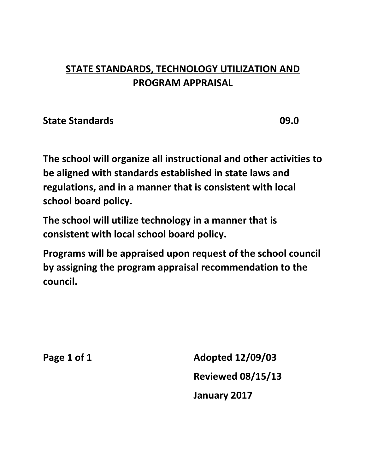### **STATE STANDARDS, TECHNOLOGY UTILIZATION AND PROGRAM APPRAISAL**

**State Standards 09.0**

**The school will organize all instructional and other activities to be aligned with standards established in state laws and regulations, and in a manner that is consistent with local school board policy.** 

**The school will utilize technology in a manner that is consistent with local school board policy.** 

**Programs will be appraised upon request of the school council by assigning the program appraisal recommendation to the council.**

**Page 1 of 1 Adopted 12/09/03 Reviewed 08/15/13 January 2017**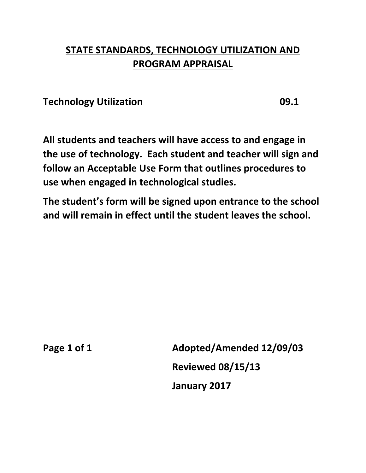### **STATE STANDARDS, TECHNOLOGY UTILIZATION AND PROGRAM APPRAISAL**

**Technology Utilization 09.1**

**All students and teachers will have access to and engage in the use of technology. Each student and teacher will sign and follow an Acceptable Use Form that outlines procedures to use when engaged in technological studies.**

**The student's form will be signed upon entrance to the school and will remain in effect until the student leaves the school.**

**Page 1 of 1 Adopted/Amended 12/09/03 Reviewed 08/15/13 January 2017**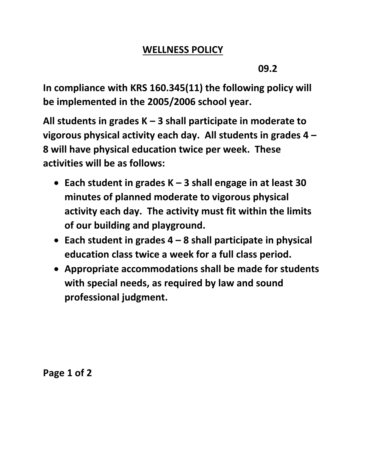### **WELLNESS POLICY**

**09.2**

**In compliance with KRS 160.345(11) the following policy will be implemented in the 2005/2006 school year.**

**All students in grades K – 3 shall participate in moderate to vigorous physical activity each day. All students in grades 4 – 8 will have physical education twice per week. These activities will be as follows:**

- **Each student in grades K – 3 shall engage in at least 30 minutes of planned moderate to vigorous physical activity each day. The activity must fit within the limits of our building and playground.**
- **Each student in grades 4 – 8 shall participate in physical education class twice a week for a full class period.**
- **Appropriate accommodations shall be made for students with special needs, as required by law and sound professional judgment.**

**Page 1 of 2**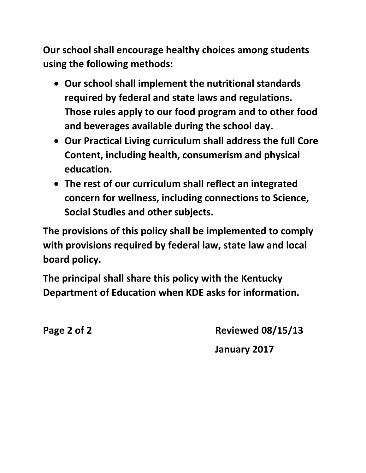**Our school shall encourage healthy choices among students using the following methods:**

- **Our school shall implement the nutritional standards required by federal and state laws and regulations. Those rules apply to our food program and to other food and beverages available during the school day.**
- **Our Practical Living curriculum shall address the full Core Content, including health, consumerism and physical education.**
- **The rest of our curriculum shall reflect an integrated concern for wellness, including connections to Science, Social Studies and other subjects.**

**The provisions of this policy shall be implemented to comply with provisions required by federal law, state law and local board policy.**

**The principal shall share this policy with the Kentucky Department of Education when KDE asks for information.**

**Page 2 of 2 Reviewed 08/15/13**

**January 2017**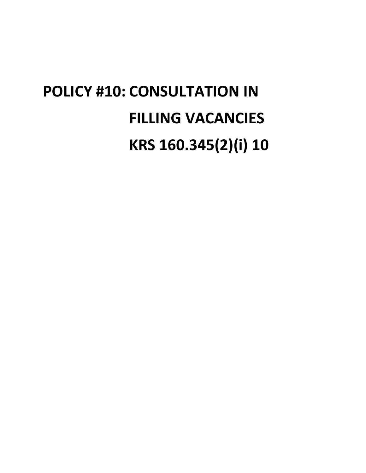# **POLICY #10: CONSULTATION IN FILLING VACANCIES KRS 160.345(2)(i) 10**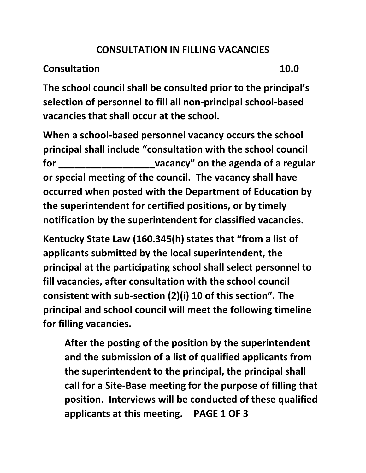### **CONSULTATION IN FILLING VACANCIES**

### **Consultation 10.0**

**The school council shall be consulted prior to the principal's selection of personnel to fill all non-principal school-based vacancies that shall occur at the school.**

**When a school-based personnel vacancy occurs the school principal shall include "consultation with the school council for \_\_\_\_\_\_\_\_\_\_\_\_\_\_\_\_\_\_vacancy" on the agenda of a regular or special meeting of the council. The vacancy shall have occurred when posted with the Department of Education by the superintendent for certified positions, or by timely notification by the superintendent for classified vacancies.**

**Kentucky State Law (160.345(h) states that "from a list of applicants submitted by the local superintendent, the principal at the participating school shall select personnel to fill vacancies, after consultation with the school council consistent with sub-section (2)(i) 10 of this section". The principal and school council will meet the following timeline for filling vacancies.**

**After the posting of the position by the superintendent and the submission of a list of qualified applicants from the superintendent to the principal, the principal shall call for a Site-Base meeting for the purpose of filling that position. Interviews will be conducted of these qualified applicants at this meeting. PAGE 1 OF 3**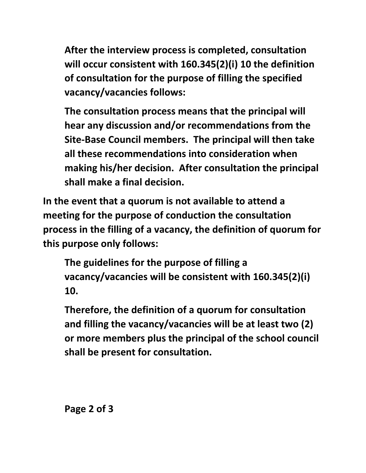**After the interview process is completed, consultation will occur consistent with 160.345(2)(i) 10 the definition of consultation for the purpose of filling the specified vacancy/vacancies follows:**

**The consultation process means that the principal will hear any discussion and/or recommendations from the Site-Base Council members. The principal will then take all these recommendations into consideration when making his/her decision. After consultation the principal shall make a final decision.**

**In the event that a quorum is not available to attend a meeting for the purpose of conduction the consultation process in the filling of a vacancy, the definition of quorum for this purpose only follows:**

**The guidelines for the purpose of filling a vacancy/vacancies will be consistent with 160.345(2)(i) 10.**

**Therefore, the definition of a quorum for consultation and filling the vacancy/vacancies will be at least two (2) or more members plus the principal of the school council shall be present for consultation.**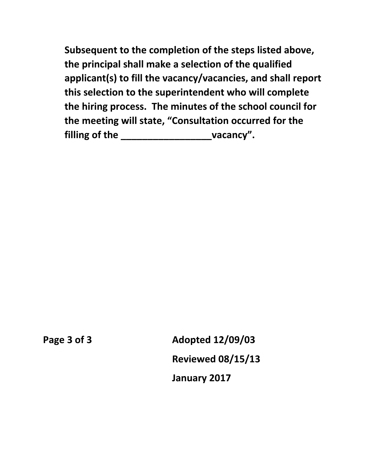**Subsequent to the completion of the steps listed above, the principal shall make a selection of the qualified applicant(s) to fill the vacancy/vacancies, and shall report this selection to the superintendent who will complete the hiring process. The minutes of the school council for the meeting will state, "Consultation occurred for the filling of the \_\_\_\_\_\_\_\_\_\_\_\_\_\_\_\_\_vacancy".**

**Page 3 of 3 Adopted 12/09/03 Reviewed 08/15/13 January 2017**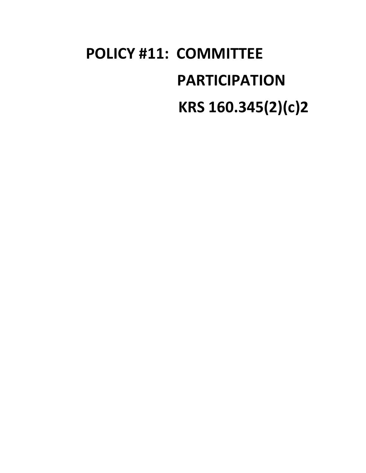# **POLICY #11: COMMITTEE PARTICIPATION KRS 160.345(2)(c)2**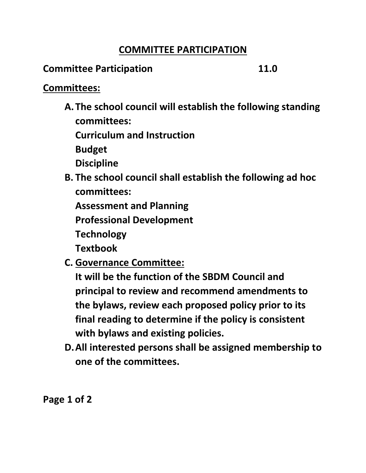### **COMMITTEE PARTICIPATION**

### **Committee Participation 11.0**

### **Committees:**

**A. The school council will establish the following standing committees:**

**Curriculum and Instruction**

**Budget**

**Discipline**

**B. The school council shall establish the following ad hoc committees:**

**Assessment and Planning**

**Professional Development**

**Technology**

**Textbook**

**C. Governance Committee:**

**It will be the function of the SBDM Council and principal to review and recommend amendments to the bylaws, review each proposed policy prior to its final reading to determine if the policy is consistent with bylaws and existing policies.**

**D.All interested persons shall be assigned membership to one of the committees.**

**Page 1 of 2**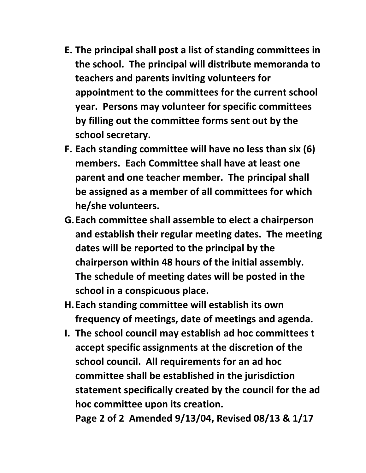- **E. The principal shall post a list of standing committees in the school. The principal will distribute memoranda to teachers and parents inviting volunteers for appointment to the committees for the current school year. Persons may volunteer for specific committees by filling out the committee forms sent out by the school secretary.**
- **F. Each standing committee will have no less than six (6) members. Each Committee shall have at least one parent and one teacher member. The principal shall be assigned as a member of all committees for which he/she volunteers.**
- **G.Each committee shall assemble to elect a chairperson and establish their regular meeting dates. The meeting dates will be reported to the principal by the chairperson within 48 hours of the initial assembly. The schedule of meeting dates will be posted in the school in a conspicuous place.**
- **H.Each standing committee will establish its own frequency of meetings, date of meetings and agenda.**
- **I. The school council may establish ad hoc committees t accept specific assignments at the discretion of the school council. All requirements for an ad hoc committee shall be established in the jurisdiction statement specifically created by the council for the ad hoc committee upon its creation.**

**Page 2 of 2 Amended 9/13/04, Revised 08/13 & 1/17**